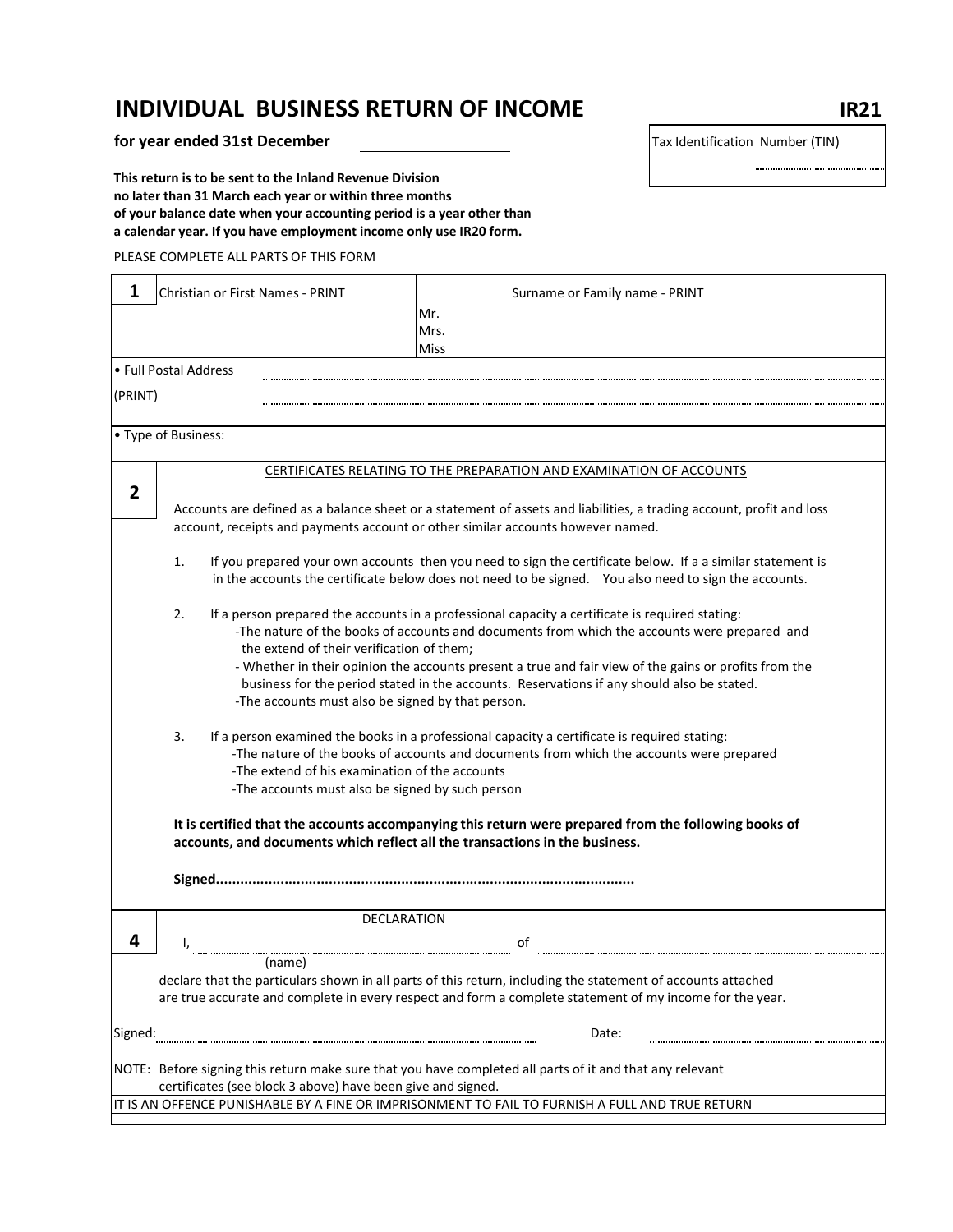## **INDIVIDUAL BUSINESS RETURN OF INCOME IR21**

**for year ended 31st December** Tax Identification Number (TIN)

**This return is to be sent to the Inland Revenue Division no later than 31 March each year or within three months of your balance date when your accounting period is a year other than a calendar year. If you have employment income only use IR20 form.**

PLEASE COMPLETE ALL PARTS OF THIS FORM

| 1<br>Christian or First Names - PRINT                                       | Surname or Family name - PRINT                                                                                                                                                                                      |  |  |  |  |  |
|-----------------------------------------------------------------------------|---------------------------------------------------------------------------------------------------------------------------------------------------------------------------------------------------------------------|--|--|--|--|--|
|                                                                             | Mr.                                                                                                                                                                                                                 |  |  |  |  |  |
|                                                                             | Mrs.                                                                                                                                                                                                                |  |  |  |  |  |
|                                                                             | <b>Miss</b>                                                                                                                                                                                                         |  |  |  |  |  |
| • Full Postal Address                                                       |                                                                                                                                                                                                                     |  |  |  |  |  |
| (PRINT)                                                                     |                                                                                                                                                                                                                     |  |  |  |  |  |
|                                                                             |                                                                                                                                                                                                                     |  |  |  |  |  |
| • Type of Business:                                                         |                                                                                                                                                                                                                     |  |  |  |  |  |
|                                                                             | CERTIFICATES RELATING TO THE PREPARATION AND EXAMINATION OF ACCOUNTS                                                                                                                                                |  |  |  |  |  |
| $\overline{2}$                                                              |                                                                                                                                                                                                                     |  |  |  |  |  |
|                                                                             | Accounts are defined as a balance sheet or a statement of assets and liabilities, a trading account, profit and loss<br>account, receipts and payments account or other similar accounts however named.             |  |  |  |  |  |
| 1.                                                                          | If you prepared your own accounts then you need to sign the certificate below. If a a similar statement is<br>in the accounts the certificate below does not need to be signed. You also need to sign the accounts. |  |  |  |  |  |
| 2.                                                                          | If a person prepared the accounts in a professional capacity a certificate is required stating:                                                                                                                     |  |  |  |  |  |
|                                                                             | -The nature of the books of accounts and documents from which the accounts were prepared and                                                                                                                        |  |  |  |  |  |
| the extend of their verification of them;                                   |                                                                                                                                                                                                                     |  |  |  |  |  |
|                                                                             | - Whether in their opinion the accounts present a true and fair view of the gains or profits from the                                                                                                               |  |  |  |  |  |
|                                                                             | business for the period stated in the accounts. Reservations if any should also be stated.                                                                                                                          |  |  |  |  |  |
| -The accounts must also be signed by that person.                           |                                                                                                                                                                                                                     |  |  |  |  |  |
| 3.                                                                          | If a person examined the books in a professional capacity a certificate is required stating:                                                                                                                        |  |  |  |  |  |
|                                                                             | -The nature of the books of accounts and documents from which the accounts were prepared                                                                                                                            |  |  |  |  |  |
| -The extend of his examination of the accounts                              |                                                                                                                                                                                                                     |  |  |  |  |  |
| -The accounts must also be signed by such person                            |                                                                                                                                                                                                                     |  |  |  |  |  |
| accounts, and documents which reflect all the transactions in the business. | It is certified that the accounts accompanying this return were prepared from the following books of                                                                                                                |  |  |  |  |  |
|                                                                             |                                                                                                                                                                                                                     |  |  |  |  |  |
| DECLARATION                                                                 |                                                                                                                                                                                                                     |  |  |  |  |  |
| 4                                                                           | оf                                                                                                                                                                                                                  |  |  |  |  |  |
| (name)                                                                      |                                                                                                                                                                                                                     |  |  |  |  |  |
|                                                                             | declare that the particulars shown in all parts of this return, including the statement of accounts attached                                                                                                        |  |  |  |  |  |
|                                                                             | are true accurate and complete in every respect and form a complete statement of my income for the year.                                                                                                            |  |  |  |  |  |
| Signed:                                                                     | Date:                                                                                                                                                                                                               |  |  |  |  |  |
|                                                                             | NOTE: Before signing this return make sure that you have completed all parts of it and that any relevant                                                                                                            |  |  |  |  |  |
| certificates (see block 3 above) have been give and signed.                 |                                                                                                                                                                                                                     |  |  |  |  |  |
|                                                                             | IT IS AN OFFENCE PUNISHABLE BY A FINE OR IMPRISONMENT TO FAIL TO FURNISH A FULL AND TRUE RETURN                                                                                                                     |  |  |  |  |  |

............................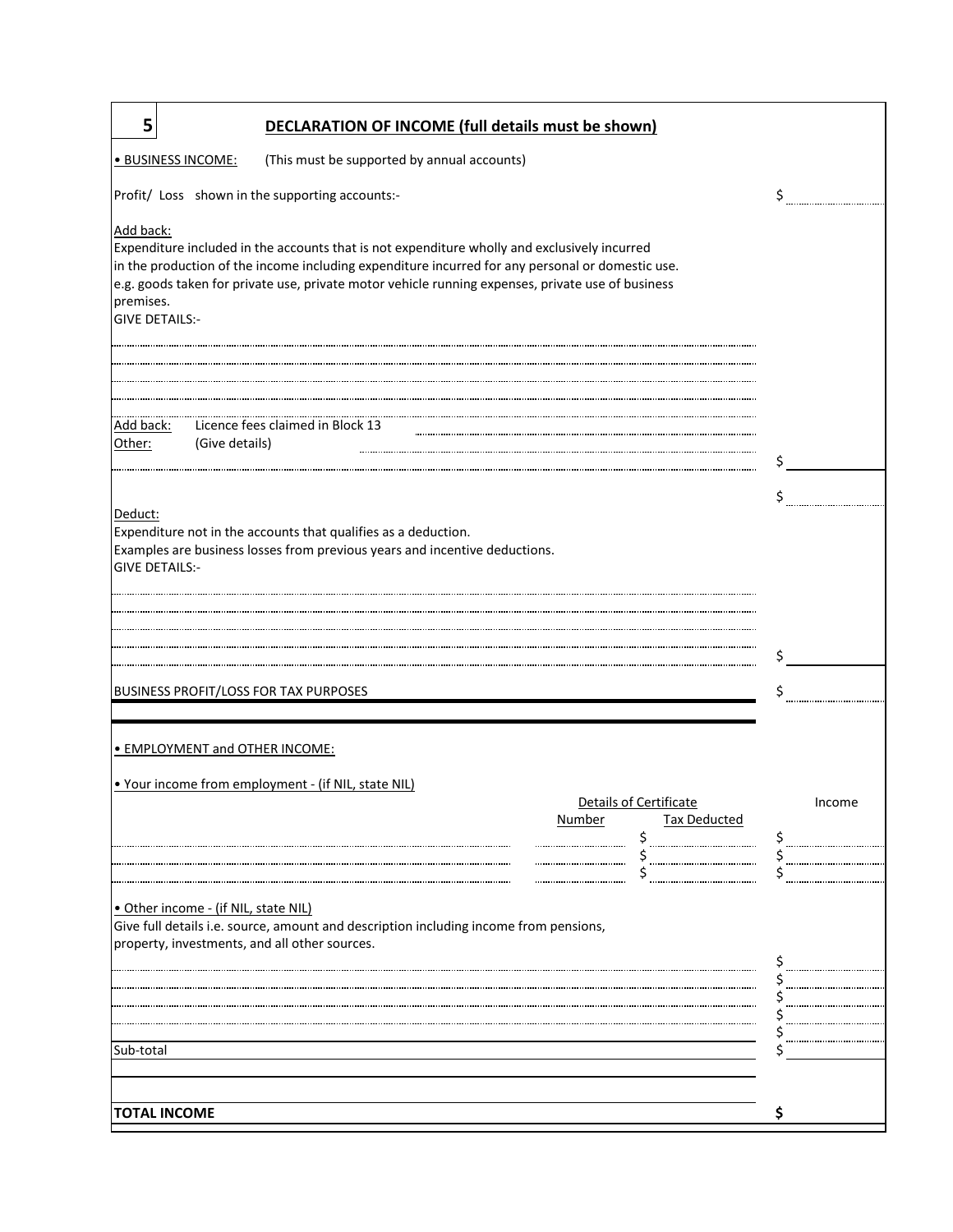| 5<br><b>DECLARATION OF INCOME (full details must be shown)</b>                                                                                                                                                                                                                                                                                           |        |
|----------------------------------------------------------------------------------------------------------------------------------------------------------------------------------------------------------------------------------------------------------------------------------------------------------------------------------------------------------|--------|
| · BUSINESS INCOME:<br>(This must be supported by annual accounts)                                                                                                                                                                                                                                                                                        |        |
| Profit/ Loss shown in the supporting accounts:-                                                                                                                                                                                                                                                                                                          | Ś      |
| Add back:<br>Expenditure included in the accounts that is not expenditure wholly and exclusively incurred<br>in the production of the income including expenditure incurred for any personal or domestic use.<br>e.g. goods taken for private use, private motor vehicle running expenses, private use of business<br>premises.<br><b>GIVE DETAILS:-</b> |        |
|                                                                                                                                                                                                                                                                                                                                                          |        |
| Licence fees claimed in Block 13<br>Add back:<br>(Give details)<br>Other:                                                                                                                                                                                                                                                                                |        |
|                                                                                                                                                                                                                                                                                                                                                          |        |
| Deduct:<br>Expenditure not in the accounts that qualifies as a deduction.                                                                                                                                                                                                                                                                                |        |
| Examples are business losses from previous years and incentive deductions.<br><b>GIVE DETAILS:-</b>                                                                                                                                                                                                                                                      |        |
|                                                                                                                                                                                                                                                                                                                                                          |        |
|                                                                                                                                                                                                                                                                                                                                                          |        |
| <b>BUSINESS PROFIT/LOSS FOR TAX PURPOSES</b>                                                                                                                                                                                                                                                                                                             |        |
| • EMPLOYMENT and OTHER INCOME:                                                                                                                                                                                                                                                                                                                           |        |
| . Your income from employment - (if NIL, state NIL)                                                                                                                                                                                                                                                                                                      |        |
| Details of Certificate<br><b>Tax Deducted</b><br>Number                                                                                                                                                                                                                                                                                                  | Income |
|                                                                                                                                                                                                                                                                                                                                                          |        |
| · Other income - (if NIL, state NIL)<br>Give full details i.e. source, amount and description including income from pensions,<br>property, investments, and all other sources.                                                                                                                                                                           |        |
|                                                                                                                                                                                                                                                                                                                                                          |        |
|                                                                                                                                                                                                                                                                                                                                                          |        |
| Sub-total                                                                                                                                                                                                                                                                                                                                                |        |
|                                                                                                                                                                                                                                                                                                                                                          |        |
| <b>TOTAL INCOME</b>                                                                                                                                                                                                                                                                                                                                      |        |